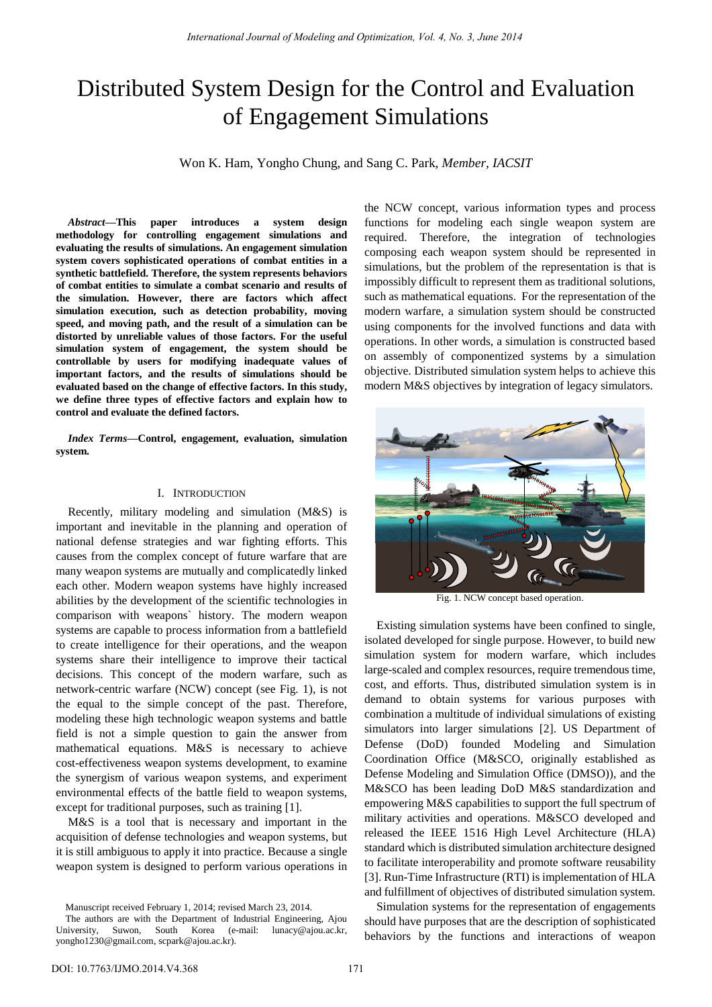# Distributed System Design for the Control and Evaluation of Engagement Simulations

Won K. Ham, Yongho Chung, and Sang C. Park, *Member, IACSIT*

*Abstract***—This paper introduces a system design methodology for controlling engagement simulations and evaluating the results of simulations. An engagement simulation system covers sophisticated operations of combat entities in a synthetic battlefield. Therefore, the system represents behaviors of combat entities to simulate a combat scenario and results of the simulation. However, there are factors which affect simulation execution, such as detection probability, moving speed, and moving path, and the result of a simulation can be distorted by unreliable values of those factors. For the useful simulation system of engagement, the system should be controllable by users for modifying inadequate values of important factors, and the results of simulations should be evaluated based on the change of effective factors. In this study, we define three types of effective factors and explain how to control and evaluate the defined factors.** 

*Index Terms***—Control, engagement, evaluation, simulation system.** 

### I. INTRODUCTION

Recently, military modeling and simulation (M&S) is important and inevitable in the planning and operation of national defense strategies and war fighting efforts. This causes from the complex concept of future warfare that are many weapon systems are mutually and complicatedly linked each other. Modern weapon systems have highly increased abilities by the development of the scientific technologies in comparison with weapons` history. The modern weapon systems are capable to process information from a battlefield to create intelligence for their operations, and the weapon systems share their intelligence to improve their tactical decisions. This concept of the modern warfare, such as network-centric warfare (NCW) concept (see Fig. 1), is not the equal to the simple concept of the past. Therefore, modeling these high technologic weapon systems and battle field is not a simple question to gain the answer from mathematical equations. M&S is necessary to achieve cost-effectiveness weapon systems development, to examine the synergism of various weapon systems, and experiment environmental effects of the battle field to weapon systems, except for traditional purposes, such as training [1].

M&S is a tool that is necessary and important in the acquisition of defense technologies and weapon systems, but it is still ambiguous to apply it into practice. Because a single weapon system is designed to perform various operations in

Manuscript received February 1, 2014; revised March 23, 2014.

the NCW concept, various information types and process functions for modeling each single weapon system are required. Therefore, the integration of technologies composing each weapon system should be represented in simulations, but the problem of the representation is that is impossibly difficult to represent them as traditional solutions, such as mathematical equations. For the representation of the modern warfare, a simulation system should be constructed using components for the involved functions and data with operations. In other words, a simulation is constructed based on assembly of componentized systems by a simulation objective. Distributed simulation system helps to achieve this modern M&S objectives by integration of legacy simulators.



Fig. 1. NCW concept based operation.

Existing simulation systems have been confined to single, isolated developed for single purpose. However, to build new simulation system for modern warfare, which includes large-scaled and complex resources, require tremendous time, cost, and efforts. Thus, distributed simulation system is in demand to obtain systems for various purposes with combination a multitude of individual simulations of existing simulators into larger simulations [2]. US Department of Defense (DoD) founded Modeling and Simulation Coordination Office (M&SCO, originally established as Defense Modeling and Simulation Office (DMSO)), and the M&SCO has been leading DoD M&S standardization and empowering M&S capabilities to support the full spectrum of military activities and operations. M&SCO developed and released the IEEE 1516 High Level Architecture (HLA) standard which is distributed simulation architecture designed to facilitate interoperability and promote software reusability [3]. Run-Time Infrastructure (RTI) is implementation of HLA and fulfillment of objectives of distributed simulation system.

Simulation systems for the representation of engagements should have purposes that are the description of sophisticated behaviors by the functions and interactions of weapon

The authors are with the Department of Industrial Engineering, Ajou University, Suwon, South Korea (e-mail: [lunacy@ajou.ac.kr,](mailto:lunacy@ajou.ac.kr)  [yongho1230@gmail.com,](mailto:yongho1230@gmail.com) scpark@ajou.ac.kr).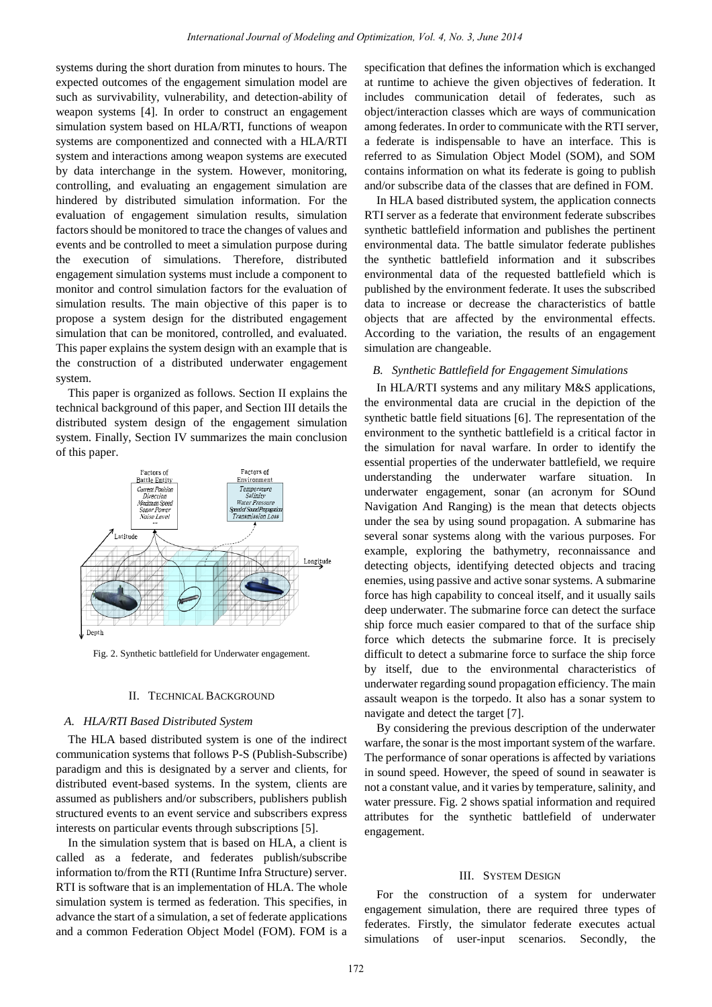systems during the short duration from minutes to hours. The expected outcomes of the engagement simulation model are such as survivability, vulnerability, and detection-ability of weapon systems [4]. In order to construct an engagement simulation system based on HLA/RTI, functions of weapon systems are componentized and connected with a HLA/RTI system and interactions among weapon systems are executed by data interchange in the system. However, monitoring, controlling, and evaluating an engagement simulation are hindered by distributed simulation information. For the evaluation of engagement simulation results, simulation factors should be monitored to trace the changes of values and events and be controlled to meet a simulation purpose during the execution of simulations. Therefore, distributed engagement simulation systems must include a component to monitor and control simulation factors for the evaluation of simulation results. The main objective of this paper is to propose a system design for the distributed engagement simulation that can be monitored, controlled, and evaluated. This paper explains the system design with an example that is the construction of a distributed underwater engagement system.

This paper is organized as follows. Section II explains the technical background of this paper, and Section III details the distributed system design of the engagement simulation system. Finally, Section IV summarizes the main conclusion of this paper.



Fig. 2. Synthetic battlefield for Underwater engagement.

## II. TECHNICAL BACKGROUND

## *A. HLA/RTI Based Distributed System*

The HLA based distributed system is one of the indirect communication systems that follows P-S (Publish-Subscribe) paradigm and this is designated by a server and clients, for distributed event-based systems. In the system, clients are assumed as publishers and/or subscribers, publishers publish structured events to an event service and subscribers express interests on particular events through subscriptions [5].

In the simulation system that is based on HLA, a client is called as a federate, and federates publish/subscribe information to/from the RTI (Runtime Infra Structure) server. RTI is software that is an implementation of HLA. The whole simulation system is termed as federation. This specifies, in advance the start of a simulation, a set of federate applications and a common Federation Object Model (FOM). FOM is a specification that defines the information which is exchanged at runtime to achieve the given objectives of federation. It includes communication detail of federates, such as object/interaction classes which are ways of communication among federates. In order to communicate with the RTI server, a federate is indispensable to have an interface. This is referred to as Simulation Object Model (SOM), and SOM contains information on what its federate is going to publish and/or subscribe data of the classes that are defined in FOM.

In HLA based distributed system, the application connects RTI server as a federate that environment federate subscribes synthetic battlefield information and publishes the pertinent environmental data. The battle simulator federate publishes the synthetic battlefield information and it subscribes environmental data of the requested battlefield which is published by the environment federate. It uses the subscribed data to increase or decrease the characteristics of battle objects that are affected by the environmental effects. According to the variation, the results of an engagement simulation are changeable.

## *B. Synthetic Battlefield for Engagement Simulations*

In HLA/RTI systems and any military M&S applications, the environmental data are crucial in the depiction of the synthetic battle field situations [6]. The representation of the environment to the synthetic battlefield is a critical factor in the simulation for naval warfare. In order to identify the essential properties of the underwater battlefield, we require understanding the underwater warfare situation. In underwater engagement, sonar (an acronym for SOund Navigation And Ranging) is the mean that detects objects under the sea by using sound propagation. A submarine has several sonar systems along with the various purposes. For example, exploring the bathymetry, reconnaissance and detecting objects, identifying detected objects and tracing enemies, using passive and active sonar systems. A submarine force has high capability to conceal itself, and it usually sails deep underwater. The submarine force can detect the surface ship force much easier compared to that of the surface ship force which detects the submarine force. It is precisely difficult to detect a submarine force to surface the ship force by itself, due to the environmental characteristics of underwater regarding sound propagation efficiency. The main assault weapon is the torpedo. It also has a sonar system to navigate and detect the target [7].

By considering the previous description of the underwater warfare, the sonar is the most important system of the warfare. The performance of sonar operations is affected by variations in sound speed. However, the speed of sound in seawater is not a constant value, and it varies by temperature, salinity, and water pressure. Fig. 2 shows spatial information and required attributes for the synthetic battlefield of underwater engagement.

#### III. SYSTEM DESIGN

For the construction of a system for underwater engagement simulation, there are required three types of federates. Firstly, the simulator federate executes actual simulations of user-input scenarios. Secondly, the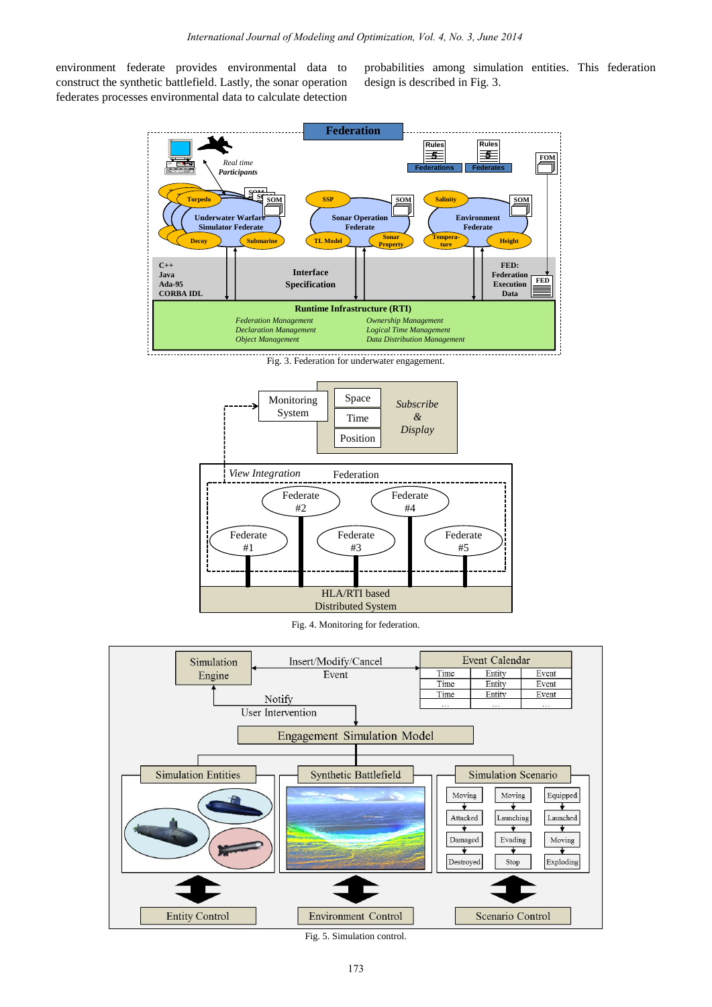environment federate provides environmental data to construct the synthetic battlefield. Lastly, the sonar operation federates processes environmental data to calculate detection probabilities among simulation entities. This federation design is described in Fig. 3.



Fig. 3. Federation for underwater engagement.



Fig. 4. Monitoring for federation.



Fig. 5. Simulation control.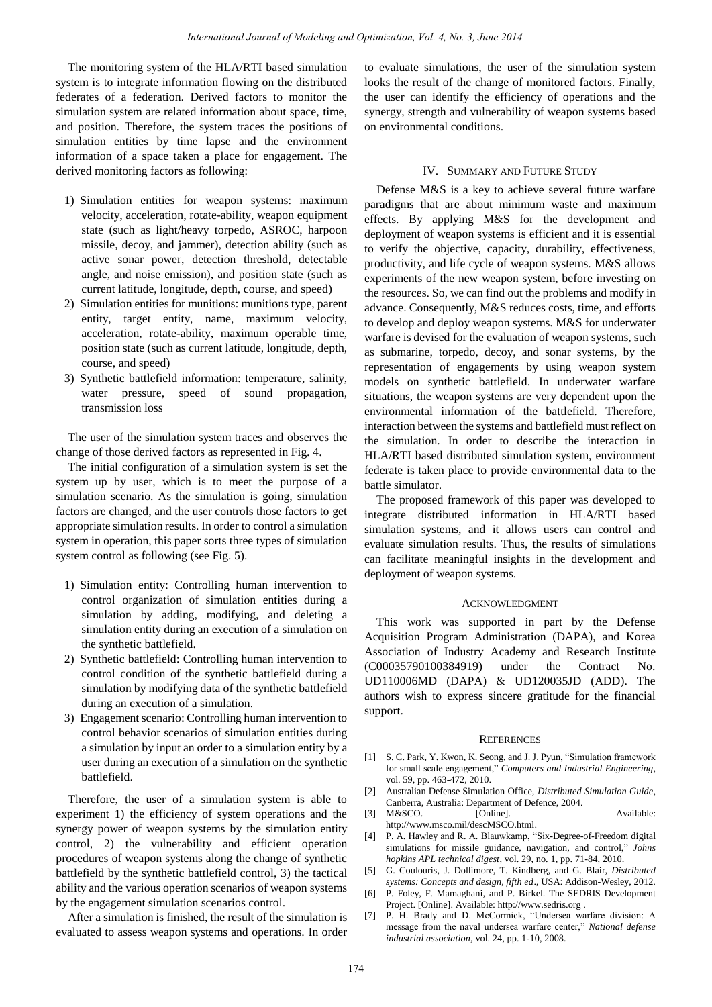The monitoring system of the HLA/RTI based simulation system is to integrate information flowing on the distributed federates of a federation. Derived factors to monitor the simulation system are related information about space, time, and position. Therefore, the system traces the positions of simulation entities by time lapse and the environment information of a space taken a place for engagement. The derived monitoring factors as following:

- 1) Simulation entities for weapon systems: maximum velocity, acceleration, rotate-ability, weapon equipment state (such as light/heavy torpedo, ASROC, harpoon missile, decoy, and jammer), detection ability (such as active sonar power, detection threshold, detectable angle, and noise emission), and position state (such as current latitude, longitude, depth, course, and speed)
- 2) Simulation entities for munitions: munitions type, parent entity, target entity, name, maximum velocity, acceleration, rotate-ability, maximum operable time, position state (such as current latitude, longitude, depth, course, and speed)
- 3) Synthetic battlefield information: temperature, salinity, water pressure, speed of sound propagation, transmission loss

The user of the simulation system traces and observes the change of those derived factors as represented in Fig. 4.

The initial configuration of a simulation system is set the system up by user, which is to meet the purpose of a simulation scenario. As the simulation is going, simulation factors are changed, and the user controls those factors to get appropriate simulation results. In order to control a simulation system in operation, this paper sorts three types of simulation system control as following (see Fig. 5).

- 1) Simulation entity: Controlling human intervention to control organization of simulation entities during a simulation by adding, modifying, and deleting a simulation entity during an execution of a simulation on the synthetic battlefield.
- 2) Synthetic battlefield: Controlling human intervention to control condition of the synthetic battlefield during a simulation by modifying data of the synthetic battlefield during an execution of a simulation.
- 3) Engagement scenario: Controlling human intervention to control behavior scenarios of simulation entities during a simulation by input an order to a simulation entity by a user during an execution of a simulation on the synthetic battlefield.

Therefore, the user of a simulation system is able to experiment 1) the efficiency of system operations and the synergy power of weapon systems by the simulation entity control, 2) the vulnerability and efficient operation procedures of weapon systems along the change of synthetic battlefield by the synthetic battlefield control, 3) the tactical ability and the various operation scenarios of weapon systems by the engagement simulation scenarios control.

After a simulation is finished, the result of the simulation is evaluated to assess weapon systems and operations. In order

to evaluate simulations, the user of the simulation system looks the result of the change of monitored factors. Finally, the user can identify the efficiency of operations and the synergy, strength and vulnerability of weapon systems based on environmental conditions.

## IV. SUMMARY AND FUTURE STUDY

Defense M&S is a key to achieve several future warfare paradigms that are about minimum waste and maximum effects. By applying M&S for the development and deployment of weapon systems is efficient and it is essential to verify the objective, capacity, durability, effectiveness, productivity, and life cycle of weapon systems. M&S allows experiments of the new weapon system, before investing on the resources. So, we can find out the problems and modify in advance. Consequently, M&S reduces costs, time, and efforts to develop and deploy weapon systems. M&S for underwater warfare is devised for the evaluation of weapon systems, such as submarine, torpedo, decoy, and sonar systems, by the representation of engagements by using weapon system models on synthetic battlefield. In underwater warfare situations, the weapon systems are very dependent upon the environmental information of the battlefield. Therefore, interaction between the systems and battlefield must reflect on the simulation. In order to describe the interaction in HLA/RTI based distributed simulation system, environment federate is taken place to provide environmental data to the battle simulator.

The proposed framework of this paper was developed to integrate distributed information in HLA/RTI based simulation systems, and it allows users can control and evaluate simulation results. Thus, the results of simulations can facilitate meaningful insights in the development and deployment of weapon systems.

#### ACKNOWLEDGMENT

This work was supported in part by the Defense Acquisition Program Administration (DAPA), and Korea Association of Industry Academy and Research Institute (C00035790100384919) under the Contract No. UD110006MD (DAPA) & UD120035JD (ADD). The authors wish to express sincere gratitude for the financial support.

#### **REFERENCES**

- [1] S. C. Park, Y. Kwon, K. Seong, and J. J. Pyun, "Simulation framework for small scale engagement," *Computers and Industrial Engineering*, vol. 59, pp. 463-472, 2010.
- [2] Australian Defense Simulation Office, *Distributed Simulation Guide*, Canberra, Australia: Department of Defence, 2004.
- [3] M&SCO. [Online]. Available: [http://www.msco.mil/descMSCO.html.](http://www.msco.mil/descMSCO.html)
- [4] P. A. Hawley and R. A. Blauwkamp, "Six-Degree-of-Freedom digital simulations for missile guidance, navigation, and control," *Johns hopkins APL technical digest*, vol. 29, no. 1, pp. 71-84, 2010.
- [5] G. Coulouris, J. Dollimore, T. Kindberg, and G. Blair, *Distributed systems: Concepts and design, fifth ed*., USA: Addison-Wesley, 2012.
- [6] P. Foley, F. Mamaghani, and P. Birkel. The SEDRIS Development Project. [Online]. Available[: http://www.sedris.org](http://www.sedris.org/) .
- [7] P. H. Brady and D. McCormick, "Undersea warfare division: A message from the naval undersea warfare center," *National defense industrial association,* vol. 24, pp. 1-10, 2008.